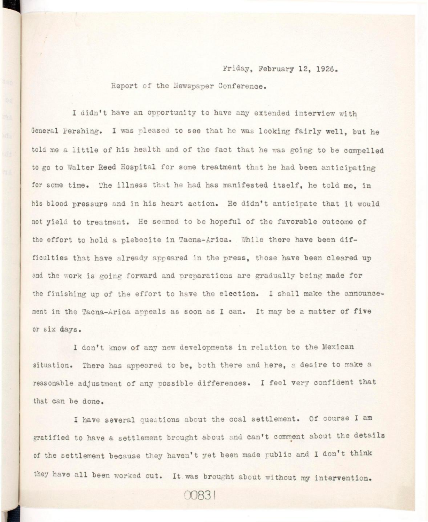## Friday, February 12, 1926.

Report of the Newspaper Conference.

I didn't have an opportunity to have any extended interview with General Pershing. I was pleased to see that he was looking fairly well, but he told me a little of his health and of the fact that he was going to be compelled to go to Walter Reed Hospital for some treatment that he had been anticipating for some time. The illness that he had has manifested itself, he told me, in his blood pressure and in his heart action. He didn't anticipate that it would not yield to treatment. He seemed to be hopeful of the favorable outcome of the effort to hold a plebecite in Tacna-Arica. While there have been difficulties that have already appeared in the press, those have been cleared up and the work is going forward and preparations are gradually being made for the finishing up of the effort to have the election. I shall make the announcement in the Tacna-Arica appeals as soon as I can. It may be a matter of five or six days.

I don't know of any new developments in relation to the Mexican situation. There has appeared to be, both there and here, a desire to make a reasonable adjustment of any possible differences. I feel very confident that that can be done.

I have several questions about the coal settlement. Of course I am gratified to have a settlement brought about and can't comment about the details of the settlement because they haven't yet been made public and I don't think they have all been worked out. It was brought about without my intervention.

00831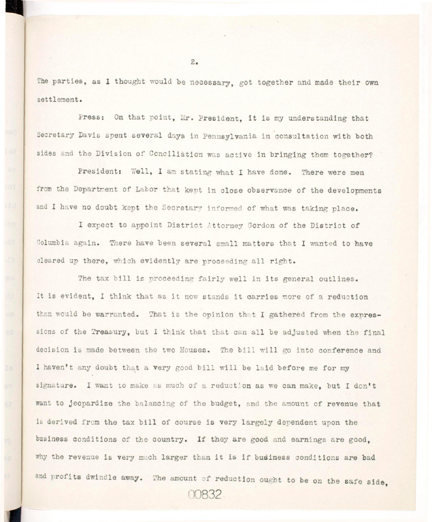The parties, as I thought would be necessary, got together and made their own settlement.

Press: On that point, Mr. President, it is my understanding that Secretary Davis spent several days in Pennsylvania in consultation with both sides and the Division of Conciliation was active in bringing them together?

President: Well, I am stating what I have done. There were men from the Department of Labor that kept in close observance of the developments and I have no doubt kept the Secretary informed of what was taking place.

I expect to appoint District Attorney Gordon of the District of Columbia again. There have been several small matters that I wanted to have cleared up there, which evidently are proceeding all right.

The tax bill is proceeding fairly well in its general outlines. It is evident, I think that as it now stands it carries more of a reduction than would be warranted. That is the opinion that I gathered from the expressions of the Treasury, but I think that that can all be adjusted when the final decision is made between the two Houses. The bill will go into conference and I haven't any doubt that a very good bill will be laid before me for my signature. I want to make as much of a reduction as we can make, but I don't want to jeopardize the balancing of the budget, and the amount of revenue that is derived from the tax bill of course is very largely dependent upon the business conditions of the country. If they are good and earnings are good, why the revenue is very much larger than it is if budiness conditions are bad and profits dwindle away. The amount of reduction ought to be on the safe side, **00832-**

 $2.$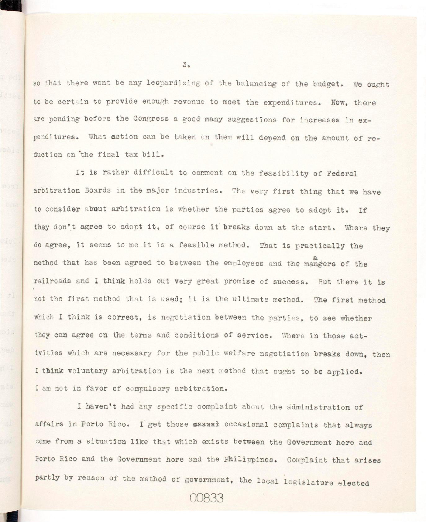so that there wont be any leopardizing of the balancing of the budget. We ought to be certain to provide enough revenue to meet the expenditures. Now, there are pending before the Congress a good many suggestions for increases in expenditures. What action can be taken on them will depend on the amount of reduction on the final tax bill.

It is rather difficult to comment on the feasibility of Federal arbitration Boards in the major industries. The very first thing that we have to consider about arbitration is whether the parties agree to adopt it. If they don't agree to adopt it, of course it breaks down at the start. Where they do agree, it seems to me it is a feasible method. That is practically the method that has been agreed to between the employees and the mangers of the railroads and I think holds out very great promise of success. But there it is not the first method that is used; it is the ultimate method. The first method which I think is correct, is negotiation between the parties, to see whether ivities which are necessary for the public welfare negotiation breaks down, then I think voluntary arbitration is the next method that ought to be applied.

affairs in Porto Rico. I get those xxxxxx occasional complaints that always come from a situation like that which exists between the Government here and Porto Rico and the Government here and the Philippines. Complaint that arises partly by reason of the method of government, the local legislature elected

partly the method of the method of government, the method of government, the legislatur e e l e c t e c t e d

I am not i n favor of compulsory arbitration .

 $-71$ 

 $O(1)$ 

 $3.5$